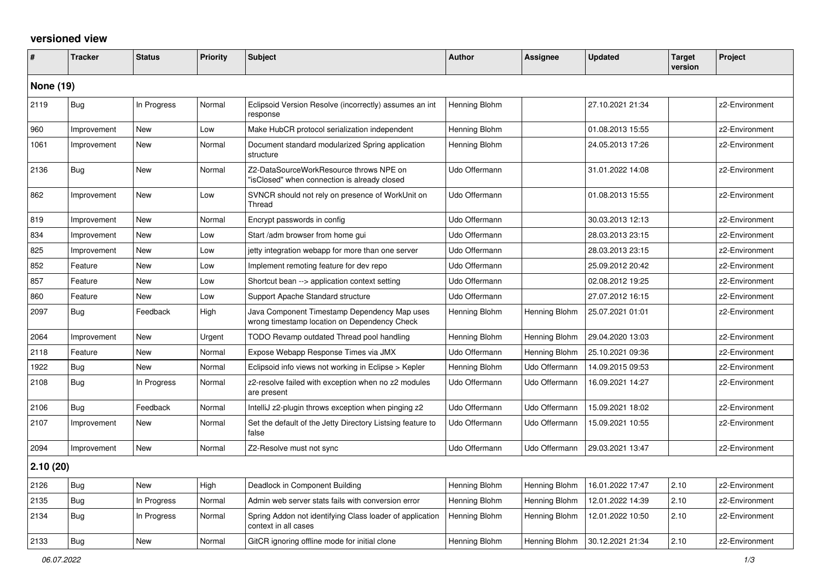## **versioned view**

| #                | <b>Tracker</b> | <b>Status</b> | <b>Priority</b> | <b>Subject</b>                                                                               | <b>Author</b> | Assignee      | <b>Updated</b>   | Target<br>version | Project        |
|------------------|----------------|---------------|-----------------|----------------------------------------------------------------------------------------------|---------------|---------------|------------------|-------------------|----------------|
| <b>None (19)</b> |                |               |                 |                                                                                              |               |               |                  |                   |                |
| 2119             | <b>Bug</b>     | In Progress   | Normal          | Eclipsoid Version Resolve (incorrectly) assumes an int<br>response                           | Henning Blohm |               | 27.10.2021 21:34 |                   | z2-Environment |
| 960              | Improvement    | <b>New</b>    | Low             | Make HubCR protocol serialization independent                                                | Henning Blohm |               | 01.08.2013 15:55 |                   | z2-Environment |
| 1061             | Improvement    | New           | Normal          | Document standard modularized Spring application<br>structure                                | Henning Blohm |               | 24.05.2013 17:26 |                   | z2-Environment |
| 2136             | <b>Bug</b>     | New           | Normal          | Z2-DataSourceWorkResource throws NPE on<br>"isClosed" when connection is already closed      | Udo Offermann |               | 31.01.2022 14:08 |                   | z2-Environment |
| 862              | Improvement    | <b>New</b>    | Low             | SVNCR should not rely on presence of WorkUnit on<br>Thread                                   | Udo Offermann |               | 01.08.2013 15:55 |                   | z2-Environment |
| 819              | Improvement    | <b>New</b>    | Normal          | Encrypt passwords in config                                                                  | Udo Offermann |               | 30.03.2013 12:13 |                   | z2-Environment |
| 834              | Improvement    | <b>New</b>    | Low             | Start /adm browser from home gui                                                             | Udo Offermann |               | 28.03.2013 23:15 |                   | z2-Environment |
| 825              | Improvement    | New           | Low             | jetty integration webapp for more than one server                                            | Udo Offermann |               | 28.03.2013 23:15 |                   | z2-Environment |
| 852              | Feature        | <b>New</b>    | Low             | Implement remoting feature for dev repo                                                      | Udo Offermann |               | 25.09.2012 20:42 |                   | z2-Environment |
| 857              | Feature        | <b>New</b>    | Low             | Shortcut bean --> application context setting                                                | Udo Offermann |               | 02.08.2012 19:25 |                   | z2-Environment |
| 860              | Feature        | <b>New</b>    | Low             | Support Apache Standard structure                                                            | Udo Offermann |               | 27.07.2012 16:15 |                   | z2-Environment |
| 2097             | Bug            | Feedback      | High            | Java Component Timestamp Dependency Map uses<br>wrong timestamp location on Dependency Check | Henning Blohm | Henning Blohm | 25.07.2021 01:01 |                   | z2-Environment |
| 2064             | Improvement    | <b>New</b>    | Urgent          | TODO Revamp outdated Thread pool handling                                                    | Henning Blohm | Henning Blohm | 29.04.2020 13:03 |                   | z2-Environment |
| 2118             | Feature        | <b>New</b>    | Normal          | Expose Webapp Response Times via JMX                                                         | Udo Offermann | Henning Blohm | 25.10.2021 09:36 |                   | z2-Environment |
| 1922             | Bug            | <b>New</b>    | Normal          | Eclipsoid info views not working in Eclipse > Kepler                                         | Henning Blohm | Udo Offermann | 14.09.2015 09:53 |                   | z2-Environment |
| 2108             | <b>Bug</b>     | In Progress   | Normal          | z2-resolve failed with exception when no z2 modules<br>are present                           | Udo Offermann | Udo Offermann | 16.09.2021 14:27 |                   | z2-Environment |
| 2106             | Bug            | Feedback      | Normal          | IntelliJ z2-plugin throws exception when pinging z2                                          | Udo Offermann | Udo Offermann | 15.09.2021 18:02 |                   | z2-Environment |
| 2107             | Improvement    | <b>New</b>    | Normal          | Set the default of the Jetty Directory Listsing feature to<br>false                          | Udo Offermann | Udo Offermann | 15.09.2021 10:55 |                   | z2-Environment |
| 2094             | Improvement    | New           | Normal          | Z2-Resolve must not sync                                                                     | Udo Offermann | Udo Offermann | 29.03.2021 13:47 |                   | z2-Environment |
| 2.10(20)         |                |               |                 |                                                                                              |               |               |                  |                   |                |
| 2126             | Bug            | New           | High            | Deadlock in Component Building                                                               | Henning Blohm | Henning Blohm | 16.01.2022 17:47 | 2.10              | z2-Environment |
| 2135             | Bug            | In Progress   | Normal          | Admin web server stats fails with conversion error                                           | Henning Blohm | Henning Blohm | 12.01.2022 14:39 | 2.10              | z2-Environment |
| 2134             | Bug            | In Progress   | Normal          | Spring Addon not identifying Class loader of application<br>context in all cases             | Henning Blohm | Henning Blohm | 12.01.2022 10:50 | 2.10              | z2-Environment |
| 2133             | Bug            | <b>New</b>    | Normal          | GitCR ignoring offline mode for initial clone                                                | Henning Blohm | Henning Blohm | 30.12.2021 21:34 | 2.10              | z2-Environment |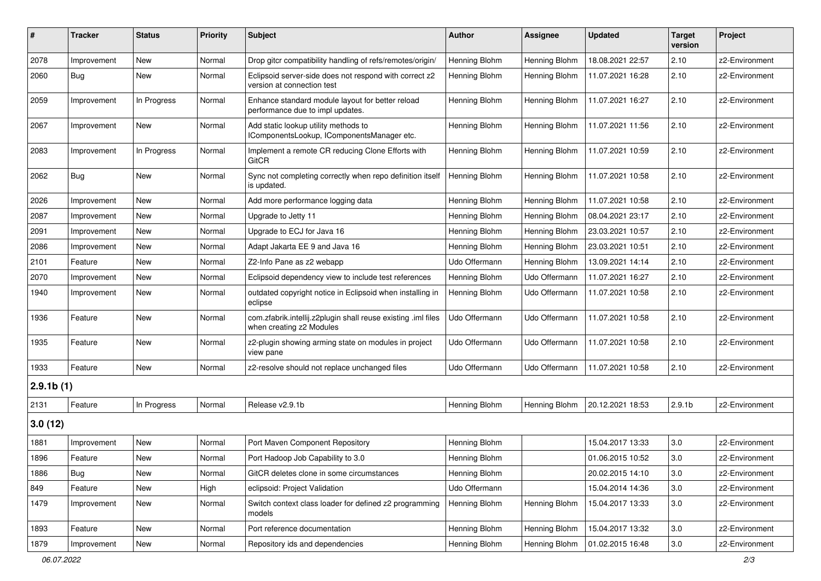| #         | <b>Tracker</b> | <b>Status</b> | <b>Priority</b> | Subject                                                                                   | <b>Author</b> | <b>Assignee</b> | <b>Updated</b>   | <b>Target</b><br>version | Project        |
|-----------|----------------|---------------|-----------------|-------------------------------------------------------------------------------------------|---------------|-----------------|------------------|--------------------------|----------------|
| 2078      | Improvement    | New           | Normal          | Drop gitcr compatibility handling of refs/remotes/origin/                                 | Henning Blohm | Henning Blohm   | 18.08.2021 22:57 | 2.10                     | z2-Environment |
| 2060      | Bug            | New           | Normal          | Eclipsoid server-side does not respond with correct z2<br>version at connection test      | Henning Blohm | Henning Blohm   | 11.07.2021 16:28 | 2.10                     | z2-Environment |
| 2059      | Improvement    | In Progress   | Normal          | Enhance standard module layout for better reload<br>performance due to impl updates.      | Henning Blohm | Henning Blohm   | 11.07.2021 16:27 | 2.10                     | z2-Environment |
| 2067      | Improvement    | New           | Normal          | Add static lookup utility methods to<br>IComponentsLookup, IComponentsManager etc.        | Henning Blohm | Henning Blohm   | 11.07.2021 11:56 | 2.10                     | z2-Environment |
| 2083      | Improvement    | In Progress   | Normal          | Implement a remote CR reducing Clone Efforts with<br>GitCR                                | Henning Blohm | Henning Blohm   | 11.07.2021 10:59 | 2.10                     | z2-Environment |
| 2062      | Bug            | New           | Normal          | Sync not completing correctly when repo definition itself<br>is updated.                  | Henning Blohm | Henning Blohm   | 11.07.2021 10:58 | 2.10                     | z2-Environment |
| 2026      | Improvement    | New           | Normal          | Add more performance logging data                                                         | Henning Blohm | Henning Blohm   | 11.07.2021 10:58 | 2.10                     | z2-Environment |
| 2087      | Improvement    | New           | Normal          | Upgrade to Jetty 11                                                                       | Henning Blohm | Henning Blohm   | 08.04.2021 23:17 | 2.10                     | z2-Environment |
| 2091      | Improvement    | New           | Normal          | Upgrade to ECJ for Java 16                                                                | Henning Blohm | Henning Blohm   | 23.03.2021 10:57 | 2.10                     | z2-Environment |
| 2086      | Improvement    | New           | Normal          | Adapt Jakarta EE 9 and Java 16                                                            | Henning Blohm | Henning Blohm   | 23.03.2021 10:51 | 2.10                     | z2-Environment |
| 2101      | Feature        | New           | Normal          | Z2-Info Pane as z2 webapp                                                                 | Udo Offermann | Henning Blohm   | 13.09.2021 14:14 | 2.10                     | z2-Environment |
| 2070      | Improvement    | New           | Normal          | Eclipsoid dependency view to include test references                                      | Henning Blohm | Udo Offermann   | 11.07.2021 16:27 | 2.10                     | z2-Environment |
| 1940      | Improvement    | New           | Normal          | outdated copyright notice in Eclipsoid when installing in<br>eclipse                      | Henning Blohm | Udo Offermann   | 11.07.2021 10:58 | 2.10                     | z2-Environment |
| 1936      | Feature        | New           | Normal          | com.zfabrik.intellij.z2plugin shall reuse existing .iml files<br>when creating z2 Modules | Udo Offermann | Udo Offermann   | 11.07.2021 10:58 | 2.10                     | z2-Environment |
| 1935      | Feature        | New           | Normal          | z2-plugin showing arming state on modules in project<br>view pane                         | Udo Offermann | Udo Offermann   | 11.07.2021 10:58 | 2.10                     | z2-Environment |
| 1933      | Feature        | New           | Normal          | z2-resolve should not replace unchanged files                                             | Udo Offermann | Udo Offermann   | 11.07.2021 10:58 | 2.10                     | z2-Environment |
| 2.9.1b(1) |                |               |                 |                                                                                           |               |                 |                  |                          |                |
| 2131      | Feature        | In Progress   | Normal          | Release v2.9.1b                                                                           | Henning Blohm | Henning Blohm   | 20.12.2021 18:53 | 2.9.1 <sub>b</sub>       | z2-Environment |
| 3.0(12)   |                |               |                 |                                                                                           |               |                 |                  |                          |                |
| 1881      | Improvement    | New           | Normal          | Port Maven Component Repository                                                           | Henning Blohm |                 | 15.04.2017 13:33 | $3.0\,$                  | z2-Environment |
| 1896      | Feature        | New           | Normal          | Port Hadoop Job Capability to 3.0                                                         | Henning Blohm |                 | 01.06.2015 10:52 | $3.0\,$                  | z2-Environment |
| 1886      | <b>Bug</b>     | New           | Normal          | GitCR deletes clone in some circumstances                                                 | Henning Blohm |                 | 20.02.2015 14:10 | 3.0                      | z2-Environment |
| 849       | Feature        | New           | High            | eclipsoid: Project Validation                                                             | Udo Offermann |                 | 15.04.2014 14:36 | $3.0\,$                  | z2-Environment |
| 1479      | Improvement    | New           | Normal          | Switch context class loader for defined z2 programming<br>models                          | Henning Blohm | Henning Blohm   | 15.04.2017 13:33 | 3.0                      | z2-Environment |
| 1893      | Feature        | New           | Normal          | Port reference documentation                                                              | Henning Blohm | Henning Blohm   | 15.04.2017 13:32 | $3.0\,$                  | z2-Environment |
| 1879      | Improvement    | New           | Normal          | Repository ids and dependencies                                                           | Henning Blohm | Henning Blohm   | 01.02.2015 16:48 | 3.0                      | z2-Environment |